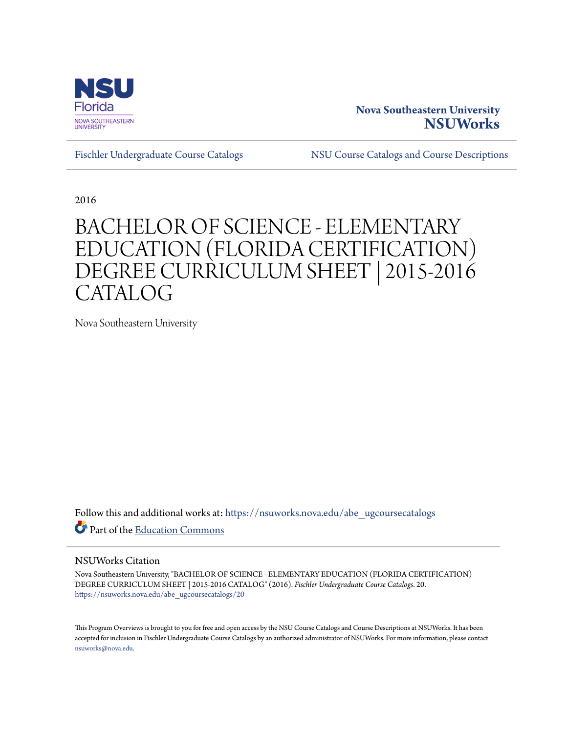

## **Nova Southeastern University [NSUWorks](https://nsuworks.nova.edu?utm_source=nsuworks.nova.edu%2Fabe_ugcoursecatalogs%2F20&utm_medium=PDF&utm_campaign=PDFCoverPages)**

[Fischler Undergraduate Course Catalogs](https://nsuworks.nova.edu/abe_ugcoursecatalogs?utm_source=nsuworks.nova.edu%2Fabe_ugcoursecatalogs%2F20&utm_medium=PDF&utm_campaign=PDFCoverPages) [NSU Course Catalogs and Course Descriptions](https://nsuworks.nova.edu/nsu_catalogs?utm_source=nsuworks.nova.edu%2Fabe_ugcoursecatalogs%2F20&utm_medium=PDF&utm_campaign=PDFCoverPages)

2016

## BACHELOR OF SCIENCE - ELEMENTARY EDUCATION (FLORIDA CERTIFICATION) DEGREE CURRICULUM SHEET | 2015-2016 CATALOG

Nova Southeastern University

Follow this and additional works at: [https://nsuworks.nova.edu/abe\\_ugcoursecatalogs](https://nsuworks.nova.edu/abe_ugcoursecatalogs?utm_source=nsuworks.nova.edu%2Fabe_ugcoursecatalogs%2F20&utm_medium=PDF&utm_campaign=PDFCoverPages) Part of the [Education Commons](http://network.bepress.com/hgg/discipline/784?utm_source=nsuworks.nova.edu%2Fabe_ugcoursecatalogs%2F20&utm_medium=PDF&utm_campaign=PDFCoverPages)

## NSUWorks Citation

Nova Southeastern University, "BACHELOR OF SCIENCE - ELEMENTARY EDUCATION (FLORIDA CERTIFICATION) DEGREE CURRICULUM SHEET | 2015-2016 CATALOG" (2016). *Fischler Undergraduate Course Catalogs*. 20. [https://nsuworks.nova.edu/abe\\_ugcoursecatalogs/20](https://nsuworks.nova.edu/abe_ugcoursecatalogs/20?utm_source=nsuworks.nova.edu%2Fabe_ugcoursecatalogs%2F20&utm_medium=PDF&utm_campaign=PDFCoverPages)

This Program Overviews is brought to you for free and open access by the NSU Course Catalogs and Course Descriptions at NSUWorks. It has been accepted for inclusion in Fischler Undergraduate Course Catalogs by an authorized administrator of NSUWorks. For more information, please contact [nsuworks@nova.edu.](mailto:nsuworks@nova.edu)